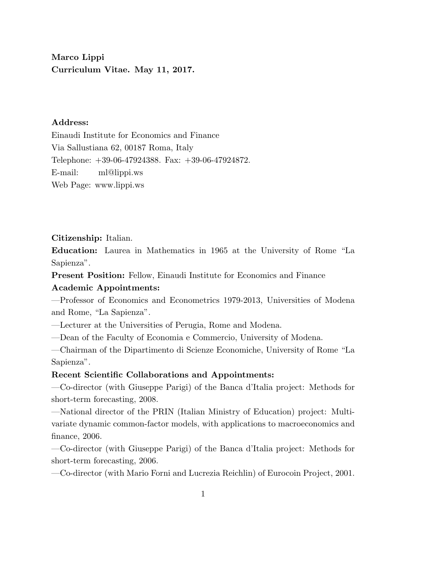Marco Lippi Curriculum Vitae. May 11, 2017.

# Address:

Einaudi Institute for Economics and Finance Via Sallustiana 62, 00187 Roma, Italy Telephone: +39-06-47924388. Fax: +39-06-47924872. E-mail: ml@lippi.ws Web Page: www.lippi.ws

Citizenship: Italian.

Education: Laurea in Mathematics in 1965 at the University of Rome "La Sapienza".

Present Position: Fellow, Einaudi Institute for Economics and Finance Academic Appointments:

—Professor of Economics and Econometrics 1979-2013, Universities of Modena and Rome, "La Sapienza".

—Lecturer at the Universities of Perugia, Rome and Modena.

—Dean of the Faculty of Economia e Commercio, University of Modena.

—Chairman of the Dipartimento di Scienze Economiche, University of Rome "La Sapienza".

## Recent Scientific Collaborations and Appointments:

—Co-director (with Giuseppe Parigi) of the Banca d'Italia project: Methods for short-term forecasting, 2008.

—National director of the PRIN (Italian Ministry of Education) project: Multivariate dynamic common-factor models, with applications to macroeconomics and finance, 2006.

—Co-director (with Giuseppe Parigi) of the Banca d'Italia project: Methods for short-term forecasting, 2006.

—Co-director (with Mario Forni and Lucrezia Reichlin) of Eurocoin Project, 2001.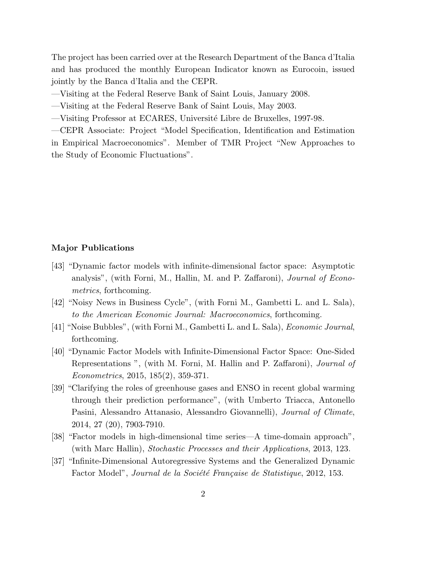The project has been carried over at the Research Department of the Banca d'Italia and has produced the monthly European Indicator known as Eurocoin, issued jointly by the Banca d'Italia and the CEPR.

—Visiting at the Federal Reserve Bank of Saint Louis, January 2008.

—Visiting at the Federal Reserve Bank of Saint Louis, May 2003.

—Visiting Professor at ECARES, Universit´e Libre de Bruxelles, 1997-98.

—CEPR Associate: Project "Model Specification, Identification and Estimation in Empirical Macroeconomics". Member of TMR Project "New Approaches to the Study of Economic Fluctuations".

## Major Publications

- [43] "Dynamic factor models with infinite-dimensional factor space: Asymptotic analysis", (with Forni, M., Hallin, M. and P. Zaffaroni), Journal of Econometrics, forthcoming.
- [42] "Noisy News in Business Cycle", (with Forni M., Gambetti L. and L. Sala), to the American Economic Journal: Macroeconomics, forthcoming.
- [41] "Noise Bubbles", (with Forni M., Gambetti L. and L. Sala), Economic Journal, forthcoming.
- [40] "Dynamic Factor Models with Infinite-Dimensional Factor Space: One-Sided Representations ", (with M. Forni, M. Hallin and P. Zaffaroni), Journal of Econometrics, 2015, 185(2), 359-371.
- [39] "Clarifying the roles of greenhouse gases and ENSO in recent global warming through their prediction performance", (with Umberto Triacca, Antonello Pasini, Alessandro Attanasio, Alessandro Giovannelli), Journal of Climate, 2014, 27 (20), 7903-7910.
- [38] "Factor models in high-dimensional time series—A time-domain approach", (with Marc Hallin), Stochastic Processes and their Applications, 2013, 123.
- [37] "Infinite-Dimensional Autoregressive Systems and the Generalized Dynamic Factor Model", Journal de la Société Française de Statistique, 2012, 153.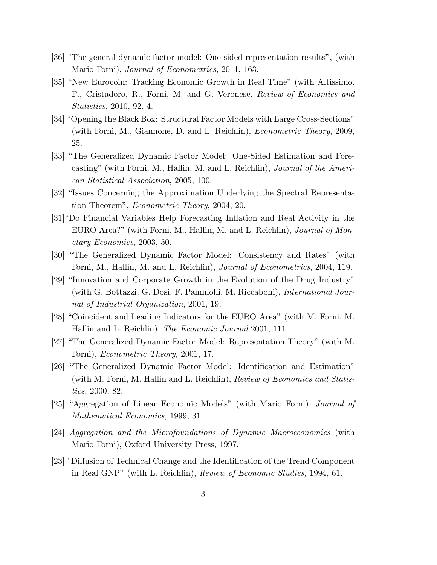- [36] "The general dynamic factor model: One-sided representation results", (with Mario Forni), Journal of Econometrics, 2011, 163.
- [35] "New Eurocoin: Tracking Economic Growth in Real Time" (with Altissimo, F., Cristadoro, R., Forni, M. and G. Veronese, Review of Economics and Statistics, 2010, 92, 4.
- [34] "Opening the Black Box: Structural Factor Models with Large Cross-Sections" (with Forni, M., Giannone, D. and L. Reichlin), Econometric Theory, 2009, 25.
- [33] "The Generalized Dynamic Factor Model: One-Sided Estimation and Forecasting" (with Forni, M., Hallin, M. and L. Reichlin), Journal of the American Statistical Association, 2005, 100.
- [32] "Issues Concerning the Approximation Underlying the Spectral Representation Theorem", Econometric Theory, 2004, 20.
- [31]"Do Financial Variables Help Forecasting Inflation and Real Activity in the EURO Area?" (with Forni, M., Hallin, M. and L. Reichlin), Journal of Monetary Economics, 2003, 50.
- [30] "The Generalized Dynamic Factor Model: Consistency and Rates" (with Forni, M., Hallin, M. and L. Reichlin), Journal of Econometrics, 2004, 119.
- [29] "Innovation and Corporate Growth in the Evolution of the Drug Industry" (with G. Bottazzi, G. Dosi, F. Pammolli, M. Riccaboni), International Journal of Industrial Organization, 2001, 19.
- [28] "Coincident and Leading Indicators for the EURO Area" (with M. Forni, M. Hallin and L. Reichlin), The Economic Journal 2001, 111.
- [27] "The Generalized Dynamic Factor Model: Representation Theory" (with M. Forni), Econometric Theory, 2001, 17.
- [26] "The Generalized Dynamic Factor Model: Identification and Estimation" (with M. Forni, M. Hallin and L. Reichlin), Review of Economics and Statistics, 2000, 82.
- [25] "Aggregation of Linear Economic Models" (with Mario Forni), Journal of Mathematical Economics, 1999, 31.
- [24] Aggregation and the Microfoundations of Dynamic Macroeconomics (with Mario Forni), Oxford University Press, 1997.
- [23] "Diffusion of Technical Change and the Identification of the Trend Component in Real GNP" (with L. Reichlin), Review of Economic Studies, 1994, 61.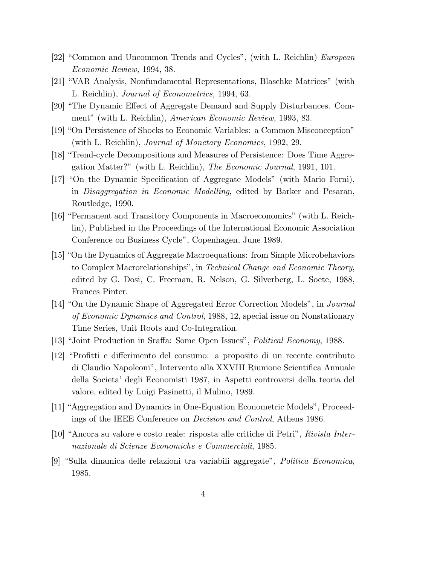- [22] "Common and Uncommon Trends and Cycles", (with L. Reichlin) European Economic Review, 1994, 38.
- [21] "VAR Analysis, Nonfundamental Representations, Blaschke Matrices" (with L. Reichlin), Journal of Econometrics, 1994, 63.
- [20] "The Dynamic Effect of Aggregate Demand and Supply Disturbances. Comment" (with L. Reichlin), American Economic Review, 1993, 83.
- [19] "On Persistence of Shocks to Economic Variables: a Common Misconception" (with L. Reichlin), Journal of Monetary Economics, 1992, 29.
- [18] "Trend-cycle Decompositions and Measures of Persistence: Does Time Aggregation Matter?" (with L. Reichlin), The Economic Journal, 1991, 101.
- [17] "On the Dynamic Specification of Aggregate Models" (with Mario Forni), in Disaggregation in Economic Modelling, edited by Barker and Pesaran, Routledge, 1990.
- [16] "Permanent and Transitory Components in Macroeconomics" (with L. Reichlin), Published in the Proceedings of the International Economic Association Conference on Business Cycle", Copenhagen, June 1989.
- [15] "On the Dynamics of Aggregate Macroequations: from Simple Microbehaviors to Complex Macrorelationships", in Technical Change and Economic Theory, edited by G. Dosi, C. Freeman, R. Nelson, G. Silverberg, L. Soete, 1988, Frances Pinter.
- [14] "On the Dynamic Shape of Aggregated Error Correction Models", in Journal of Economic Dynamics and Control, 1988, 12, special issue on Nonstationary Time Series, Unit Roots and Co-Integration.
- [13] "Joint Production in Sraffa: Some Open Issues", Political Economy, 1988.
- [12] "Profitti e differimento del consumo: a proposito di un recente contributo di Claudio Napoleoni", Intervento alla XXVIII Riunione Scientifica Annuale della Societa' degli Economisti 1987, in Aspetti controversi della teoria del valore, edited by Luigi Pasinetti, il Mulino, 1989.
- [11] "Aggregation and Dynamics in One-Equation Econometric Models", Proceedings of the IEEE Conference on Decision and Control, Athens 1986.
- [10] "Ancora su valore e costo reale: risposta alle critiche di Petri", Rivista Internazionale di Scienze Economiche e Commerciali, 1985.
- [9] "Sulla dinamica delle relazioni tra variabili aggregate", Politica Economica, 1985.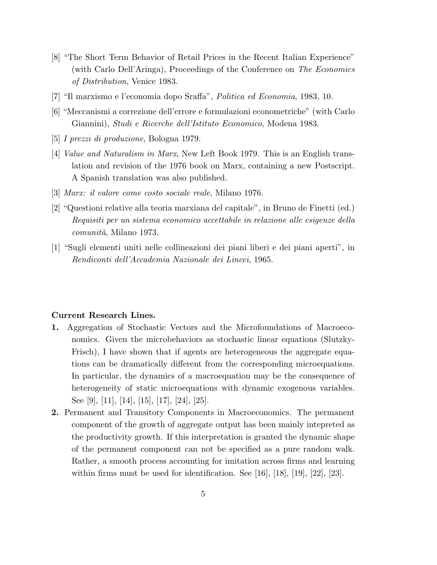- [8] "The Short Term Behavior of Retail Prices in the Recent Italian Experience" (with Carlo Dell'Aringa), Proceedings of the Conference on The Economics of Distribution, Venice 1983.
- [7] "Il marxismo e l'economia dopo Sraffa", Politica ed Economia, 1983, 10.
- [6] "Meccanismi a correzione dell'errore e formulazioni econometriche" (with Carlo Giannini), Studi e Ricerche dell'Istituto Economico, Modena 1983.
- [5] I prezzi di produzione, Bologna 1979.
- [4] Value and Naturalism in Marx, New Left Book 1979. This is an English translation and revision of the 1976 book on Marx, containing a new Postscript. A Spanish translation was also published.
- [3] Marx: il valore come costo sociale reale, Milano 1976.
- [2] "Questioni relative alla teoria marxiana del capitale", in Bruno de Finetti (ed.) Requisiti per un sistema economico accettabile in relazione alle esigenze della comunità, Milano 1973.
- [1] "Sugli elementi uniti nelle collineazioni dei piani liberi e dei piani aperti", in Rendiconti dell'Accademia Nazionale dei Lincei, 1965.

#### Current Research Lines.

- 1. Aggregation of Stochastic Vectors and the Microfoundations of Macroeconomics. Given the microbehaviors as stochastic linear equations (Slutzky-Frisch), I have shown that if agents are heterogeneous the aggregate equations can be dramatically different from the corresponding microequations. In particular, the dynamics of a macroequation may be the consequence of heterogeneity of static microequations with dynamic exogenous variables. See [9], [11], [14], [15], [17], [24], [25].
- 2. Permanent and Transitory Components in Macroeconomics. The permanent component of the growth of aggregate output has been mainly intepreted as the productivity growth. If this interpretation is granted the dynamic shape of the permanent component can not be specified as a pure random walk. Rather, a smooth process accounting for imitation across firms and learning within firms must be used for identification. See [16], [18], [19], [22], [23].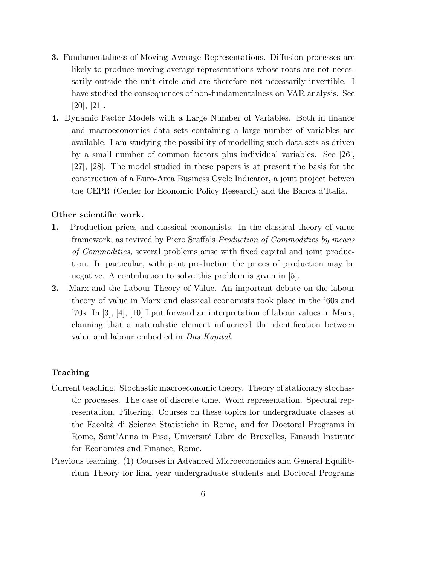- 3. Fundamentalness of Moving Average Representations. Diffusion processes are likely to produce moving average representations whose roots are not necessarily outside the unit circle and are therefore not necessarily invertible. I have studied the consequences of non-fundamentalness on VAR analysis. See [20], [21].
- 4. Dynamic Factor Models with a Large Number of Variables. Both in finance and macroeconomics data sets containing a large number of variables are available. I am studying the possibility of modelling such data sets as driven by a small number of common factors plus individual variables. See [26], [27], [28]. The model studied in these papers is at present the basis for the construction of a Euro-Area Business Cycle Indicator, a joint project betwen the CEPR (Center for Economic Policy Research) and the Banca d'Italia.

#### Other scientific work.

- 1. Production prices and classical economists. In the classical theory of value framework, as revived by Piero Sraffa's Production of Commodities by means of Commodities, several problems arise with fixed capital and joint production. In particular, with joint production the prices of production may be negative. A contribution to solve this problem is given in [5].
- 2. Marx and the Labour Theory of Value. An important debate on the labour theory of value in Marx and classical economists took place in the '60s and '70s. In [3], [4], [10] I put forward an interpretation of labour values in Marx, claiming that a naturalistic element influenced the identification between value and labour embodied in Das Kapital.

## Teaching

- Current teaching. Stochastic macroeconomic theory. Theory of stationary stochastic processes. The case of discrete time. Wold representation. Spectral representation. Filtering. Courses on these topics for undergraduate classes at the Facolt`a di Scienze Statistiche in Rome, and for Doctoral Programs in Rome, Sant'Anna in Pisa, Université Libre de Bruxelles, Einaudi Institute for Economics and Finance, Rome.
- Previous teaching. (1) Courses in Advanced Microeconomics and General Equilibrium Theory for final year undergraduate students and Doctoral Programs